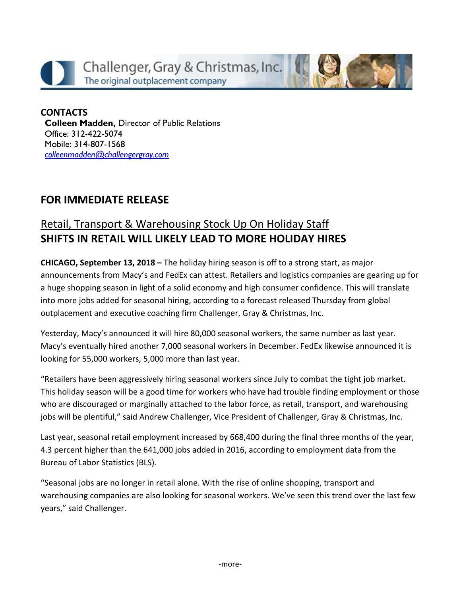

#### **CONTACTS Colleen Madden,** Director of Public Relations Office: 312-422-5074 Mobile: 314-807-1568 *[colleenmadden@challengergray.com](mailto:colleenmadden@challengergray.com)*

### **FOR IMMEDIATE RELEASE**

### Retail, Transport & Warehousing Stock Up On Holiday Staff **SHIFTS IN RETAIL WILL LIKELY LEAD TO MORE HOLIDAY HIRES**

**CHICAGO, September 13, 2018 –** The holiday hiring season is off to a strong start, as major announcements from Macy's and FedEx can attest. Retailers and logistics companies are gearing up for a huge shopping season in light of a solid economy and high consumer confidence. This will translate into more jobs added for seasonal hiring, according to a forecast released Thursday from global outplacement and executive coaching firm Challenger, Gray & Christmas, Inc.

Yesterday, Macy's announced it will hire 80,000 seasonal workers, the same number as last year. Macy's eventually hired another 7,000 seasonal workers in December. FedEx likewise announced it is looking for 55,000 workers, 5,000 more than last year.

"Retailers have been aggressively hiring seasonal workers since July to combat the tight job market. This holiday season will be a good time for workers who have had trouble finding employment or those who are discouraged or marginally attached to the labor force, as retail, transport, and warehousing jobs will be plentiful," said Andrew Challenger, Vice President of Challenger, Gray & Christmas, Inc.

Last year, seasonal retail employment increased by 668,400 during the final three months of the year, 4.3 percent higher than the 641,000 jobs added in 2016, according to employment data from the Bureau of Labor Statistics (BLS).

"Seasonal jobs are no longer in retail alone. With the rise of online shopping, transport and warehousing companies are also looking for seasonal workers. We've seen this trend over the last few years," said Challenger.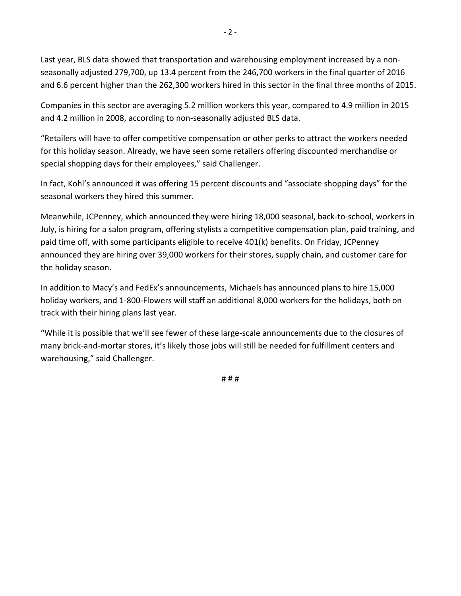Last year, BLS data showed that transportation and warehousing employment increased by a nonseasonally adjusted 279,700, up 13.4 percent from the 246,700 workers in the final quarter of 2016 and 6.6 percent higher than the 262,300 workers hired in this sector in the final three months of 2015.

Companies in this sector are averaging 5.2 million workers this year, compared to 4.9 million in 2015 and 4.2 million in 2008, according to non-seasonally adjusted BLS data.

"Retailers will have to offer competitive compensation or other perks to attract the workers needed for this holiday season. Already, we have seen some retailers offering discounted merchandise or special shopping days for their employees," said Challenger.

In fact, Kohl's announced it was offering 15 percent discounts and "associate shopping days" for the seasonal workers they hired this summer.

Meanwhile, JCPenney, which announced they were hiring 18,000 seasonal, back-to-school, workers in July, is hiring for a salon program, offering stylists a competitive compensation plan, paid training, and paid time off, with some participants eligible to receive 401(k) benefits. On Friday, JCPenney announced they are hiring over 39,000 workers for their stores, supply chain, and customer care for the holiday season.

In addition to Macy's and FedEx's announcements, Michaels has announced plans to hire 15,000 holiday workers, and 1-800-Flowers will staff an additional 8,000 workers for the holidays, both on track with their hiring plans last year.

"While it is possible that we'll see fewer of these large-scale announcements due to the closures of many brick-and-mortar stores, it's likely those jobs will still be needed for fulfillment centers and warehousing," said Challenger.

# # #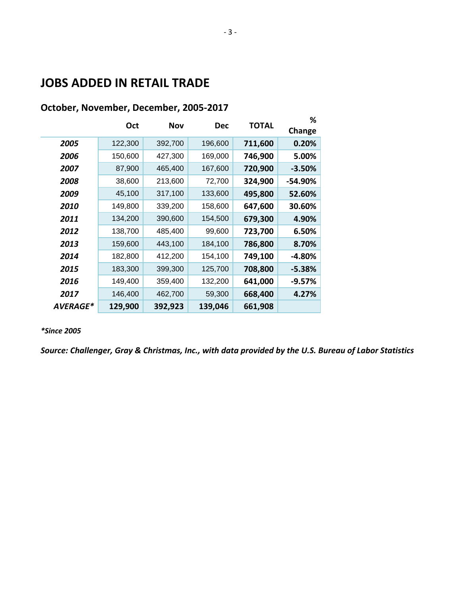## **JOBS ADDED IN RETAIL TRADE**

|          |         |         |            |              | %         |
|----------|---------|---------|------------|--------------|-----------|
|          | Oct     | Nov     | <b>Dec</b> | <b>TOTAL</b> | Change    |
| 2005     | 122,300 | 392,700 | 196,600    | 711,600      | 0.20%     |
| 2006     | 150,600 | 427,300 | 169,000    | 746,900      | 5.00%     |
| 2007     | 87,900  | 465,400 | 167,600    | 720,900      | $-3.50%$  |
| 2008     | 38,600  | 213,600 | 72,700     | 324,900      | $-54.90%$ |
| 2009     | 45,100  | 317,100 | 133,600    | 495,800      | 52.60%    |
| 2010     | 149,800 | 339,200 | 158,600    | 647,600      | 30.60%    |
| 2011     | 134,200 | 390,600 | 154,500    | 679,300      | 4.90%     |
| 2012     | 138,700 | 485,400 | 99,600     | 723,700      | 6.50%     |
| 2013     | 159,600 | 443,100 | 184,100    | 786,800      | 8.70%     |
| 2014     | 182,800 | 412,200 | 154,100    | 749,100      | $-4.80%$  |
| 2015     | 183,300 | 399,300 | 125,700    | 708,800      | $-5.38%$  |
| 2016     | 149,400 | 359,400 | 132,200    | 641,000      | $-9.57%$  |
| 2017     | 146,400 | 462,700 | 59,300     | 668,400      | 4.27%     |
| AVERAGE* | 129,900 | 392,923 | 139,046    | 661,908      |           |

#### **October, November, December, 2005-2017**

*\*Since 2005*

*Source: Challenger, Gray & Christmas, Inc., with data provided by the U.S. Bureau of Labor Statistics*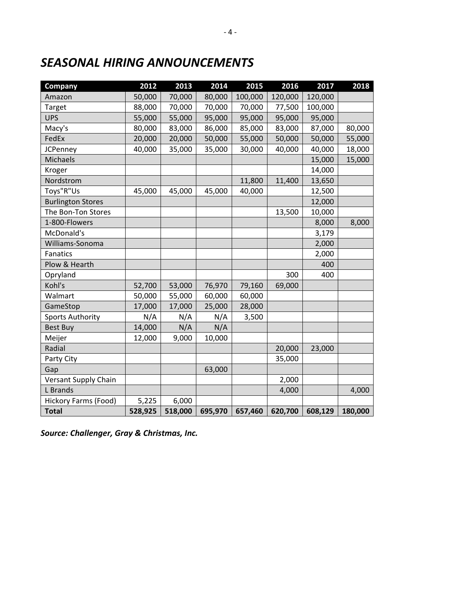# *SEASONAL HIRING ANNOUNCEMENTS*

| Company                  | 2012    | 2013    | 2014    | 2015    | 2016    | 2017    | 2018    |
|--------------------------|---------|---------|---------|---------|---------|---------|---------|
| Amazon                   | 50,000  | 70,000  | 80,000  | 100,000 | 120,000 | 120,000 |         |
| Target                   | 88,000  | 70,000  | 70,000  | 70,000  | 77,500  | 100,000 |         |
| <b>UPS</b>               | 55,000  | 55,000  | 95,000  | 95,000  | 95,000  | 95,000  |         |
| Macy's                   | 80,000  | 83,000  | 86,000  | 85,000  | 83,000  | 87,000  | 80,000  |
| FedEx                    | 20,000  | 20,000  | 50,000  | 55,000  | 50,000  | 50,000  | 55,000  |
| <b>JCPenney</b>          | 40,000  | 35,000  | 35,000  | 30,000  | 40,000  | 40,000  | 18,000  |
| Michaels                 |         |         |         |         |         | 15,000  | 15,000  |
| Kroger                   |         |         |         |         |         | 14,000  |         |
| Nordstrom                |         |         |         | 11,800  | 11,400  | 13,650  |         |
| Toys"R"Us                | 45,000  | 45,000  | 45,000  | 40,000  |         | 12,500  |         |
| <b>Burlington Stores</b> |         |         |         |         |         | 12,000  |         |
| The Bon-Ton Stores       |         |         |         |         | 13,500  | 10,000  |         |
| 1-800-Flowers            |         |         |         |         |         | 8,000   | 8,000   |
| McDonald's               |         |         |         |         |         | 3,179   |         |
| Williams-Sonoma          |         |         |         |         |         | 2,000   |         |
| <b>Fanatics</b>          |         |         |         |         |         | 2,000   |         |
| Plow & Hearth            |         |         |         |         |         | 400     |         |
| Opryland                 |         |         |         |         | 300     | 400     |         |
| Kohl's                   | 52,700  | 53,000  | 76,970  | 79,160  | 69,000  |         |         |
| Walmart                  | 50,000  | 55,000  | 60,000  | 60,000  |         |         |         |
| GameStop                 | 17,000  | 17,000  | 25,000  | 28,000  |         |         |         |
| <b>Sports Authority</b>  | N/A     | N/A     | N/A     | 3,500   |         |         |         |
| <b>Best Buy</b>          | 14,000  | N/A     | N/A     |         |         |         |         |
| Meijer                   | 12,000  | 9,000   | 10,000  |         |         |         |         |
| Radial                   |         |         |         |         | 20,000  | 23,000  |         |
| Party City               |         |         |         |         | 35,000  |         |         |
| Gap                      |         |         | 63,000  |         |         |         |         |
| Versant Supply Chain     |         |         |         |         | 2,000   |         |         |
| L Brands                 |         |         |         |         | 4,000   |         | 4,000   |
| Hickory Farms (Food)     | 5,225   | 6,000   |         |         |         |         |         |
| <b>Total</b>             | 528,925 | 518,000 | 695,970 | 657,460 | 620,700 | 608,129 | 180,000 |

*Source: Challenger, Gray & Christmas, Inc.*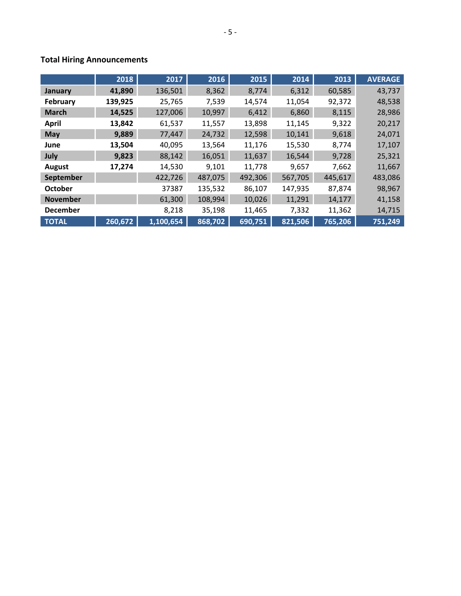#### **Total Hiring Announcements**

|                 | 2018    | 2017      | 2016    | 2015    | 2014    | 2013    | <b>AVERAGE</b> |
|-----------------|---------|-----------|---------|---------|---------|---------|----------------|
| January         | 41,890  | 136,501   | 8,362   | 8,774   | 6,312   | 60,585  | 43,737         |
| <b>February</b> | 139,925 | 25,765    | 7,539   | 14,574  | 11,054  | 92,372  | 48,538         |
| <b>March</b>    | 14,525  | 127,006   | 10,997  | 6,412   | 6,860   | 8,115   | 28,986         |
| <b>April</b>    | 13,842  | 61,537    | 11,557  | 13,898  | 11,145  | 9,322   | 20,217         |
| <b>May</b>      | 9,889   | 77,447    | 24,732  | 12,598  | 10,141  | 9,618   | 24,071         |
| June            | 13,504  | 40,095    | 13,564  | 11,176  | 15,530  | 8,774   | 17,107         |
| July            | 9,823   | 88,142    | 16,051  | 11,637  | 16,544  | 9,728   | 25,321         |
| August          | 17,274  | 14,530    | 9,101   | 11,778  | 9,657   | 7,662   | 11,667         |
| September       |         | 422,726   | 487,075 | 492,306 | 567,705 | 445,617 | 483,086        |
| <b>October</b>  |         | 37387     | 135,532 | 86,107  | 147,935 | 87,874  | 98,967         |
| <b>November</b> |         | 61,300    | 108,994 | 10,026  | 11,291  | 14,177  | 41,158         |
| <b>December</b> |         | 8,218     | 35,198  | 11,465  | 7,332   | 11,362  | 14,715         |
| <b>TOTAL</b>    | 260,672 | 1,100,654 | 868,702 | 690,751 | 821,506 | 765,206 | 751,249        |